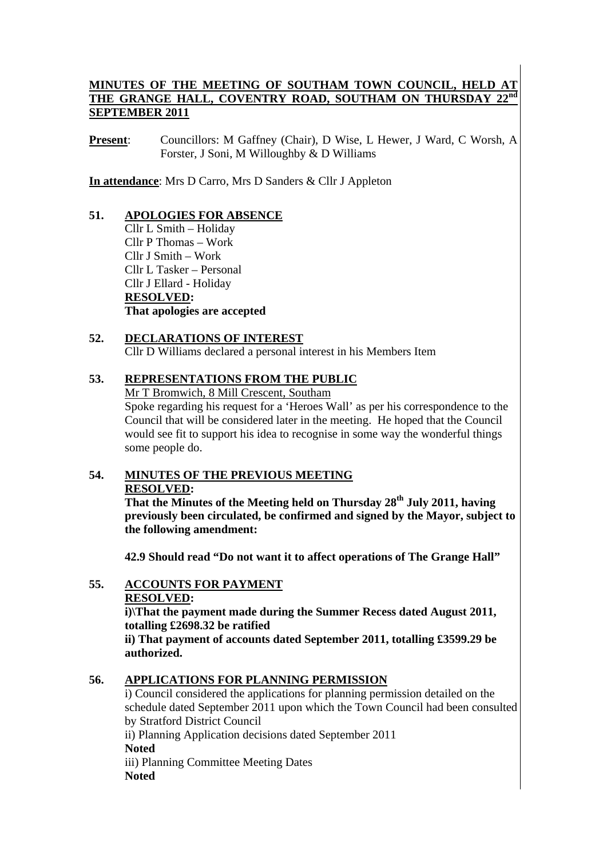## **MINUTES OF THE MEETING OF SOUTHAM TOWN COUNCIL, HELD AT THE GRANGE HALL, COVENTRY ROAD, SOUTHAM ON THURSDAY 22nd SEPTEMBER 2011**

**Present**: Councillors: M Gaffney (Chair), D Wise, L Hewer, J Ward, C Worsh, A Forster, J Soni, M Willoughby & D Williams

**In attendance**: Mrs D Carro, Mrs D Sanders & Cllr J Appleton

## **51. APOLOGIES FOR ABSENCE**

Cllr L Smith – Holiday Cllr P Thomas – Work Cllr J Smith – Work Cllr L Tasker – Personal Cllr J Ellard - Holiday **RESOLVED: That apologies are accepted** 

## **52. DECLARATIONS OF INTEREST** Cllr D Williams declared a personal interest in his Members Item

## **53. REPRESENTATIONS FROM THE PUBLIC**

Mr T Bromwich, 8 Mill Crescent, Southam

Spoke regarding his request for a 'Heroes Wall' as per his correspondence to the Council that will be considered later in the meeting. He hoped that the Council would see fit to support his idea to recognise in some way the wonderful things some people do.

## **54. MINUTES OF THE PREVIOUS MEETING RESOLVED:**

**That the Minutes of the Meeting held on Thursday 28th July 2011, having previously been circulated, be confirmed and signed by the Mayor, subject to the following amendment:** 

 **42.9 Should read "Do not want it to affect operations of The Grange Hall"** 

# **55. ACCOUNTS FOR PAYMENT**

**RESOLVED:** 

**i)\That the payment made during the Summer Recess dated August 2011, totalling £2698.32 be ratified** 

**ii) That payment of accounts dated September 2011, totalling £3599.29 be authorized.** 

## **56. APPLICATIONS FOR PLANNING PERMISSION**

i) Council considered the applications for planning permission detailed on the schedule dated September 2011 upon which the Town Council had been consulted by Stratford District Council

ii) Planning Application decisions dated September 2011 **Noted**  iii) Planning Committee Meeting Dates

**Noted**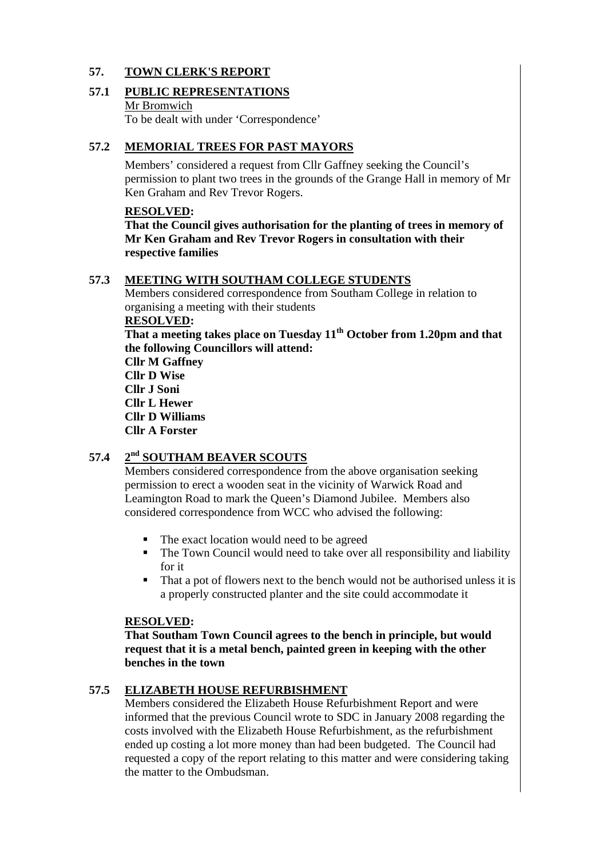## **57. TOWN CLERK'S REPORT**

# **57.1 PUBLIC REPRESENTATIONS**

Mr Bromwich

To be dealt with under 'Correspondence'

## **57.2 MEMORIAL TREES FOR PAST MAYORS**

Members' considered a request from Cllr Gaffney seeking the Council's permission to plant two trees in the grounds of the Grange Hall in memory of Mr Ken Graham and Rev Trevor Rogers.

### **RESOLVED:**

**That the Council gives authorisation for the planting of trees in memory of Mr Ken Graham and Rev Trevor Rogers in consultation with their respective families** 

## **57.3 MEETING WITH SOUTHAM COLLEGE STUDENTS**

Members considered correspondence from Southam College in relation to organising a meeting with their students

### **RESOLVED:**

That a meeting takes place on Tuesday 11<sup>th</sup> October from 1.20pm and that **the following Councillors will attend:** 

**Cllr M Gaffney Cllr D Wise Cllr J Soni Cllr L Hewer Cllr D Williams Cllr A Forster** 

# **57.4 2nd SOUTHAM BEAVER SCOUTS**

Members considered correspondence from the above organisation seeking permission to erect a wooden seat in the vicinity of Warwick Road and Leamington Road to mark the Queen's Diamond Jubilee. Members also considered correspondence from WCC who advised the following:

- The exact location would need to be agreed
- The Town Council would need to take over all responsibility and liability for it
- That a pot of flowers next to the bench would not be authorised unless it is a properly constructed planter and the site could accommodate it

### **RESOLVED:**

**That Southam Town Council agrees to the bench in principle, but would request that it is a metal bench, painted green in keeping with the other benches in the town** 

## **57.5 ELIZABETH HOUSE REFURBISHMENT**

Members considered the Elizabeth House Refurbishment Report and were informed that the previous Council wrote to SDC in January 2008 regarding the costs involved with the Elizabeth House Refurbishment, as the refurbishment ended up costing a lot more money than had been budgeted. The Council had requested a copy of the report relating to this matter and were considering taking the matter to the Ombudsman.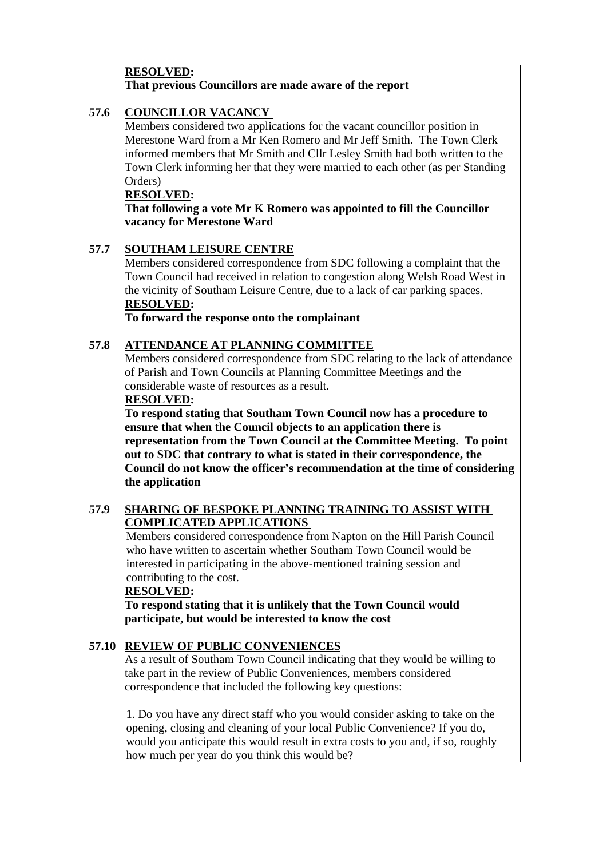## **RESOLVED: That previous Councillors are made aware of the report**

## **57.6 COUNCILLOR VACANCY**

Members considered two applications for the vacant councillor position in Merestone Ward from a Mr Ken Romero and Mr Jeff Smith. The Town Clerk informed members that Mr Smith and Cllr Lesley Smith had both written to the Town Clerk informing her that they were married to each other (as per Standing Orders)

### **RESOLVED:**

 **That following a vote Mr K Romero was appointed to fill the Councillor vacancy for Merestone Ward** 

## **57.7 SOUTHAM LEISURE CENTRE**

Members considered correspondence from SDC following a complaint that the Town Council had received in relation to congestion along Welsh Road West in the vicinity of Southam Leisure Centre, due to a lack of car parking spaces. **RESOLVED:**

 **To forward the response onto the complainant** 

## **57.8 ATTENDANCE AT PLANNING COMMITTEE**

Members considered correspondence from SDC relating to the lack of attendance of Parish and Town Councils at Planning Committee Meetings and the considerable waste of resources as a result.

### **RESOLVED:**

**To respond stating that Southam Town Council now has a procedure to ensure that when the Council objects to an application there is representation from the Town Council at the Committee Meeting. To point out to SDC that contrary to what is stated in their correspondence, the Council do not know the officer's recommendation at the time of considering the application** 

## **57.9 SHARING OF BESPOKE PLANNING TRAINING TO ASSIST WITH COMPLICATED APPLICATIONS**

 Members considered correspondence from Napton on the Hill Parish Council who have written to ascertain whether Southam Town Council would be interested in participating in the above-mentioned training session and contributing to the cost.

### **RESOLVED:**

 **To respond stating that it is unlikely that the Town Council would participate, but would be interested to know the cost** 

## **57.10 REVIEW OF PUBLIC CONVENIENCES**

As a result of Southam Town Council indicating that they would be willing to take part in the review of Public Conveniences, members considered correspondence that included the following key questions:

1. Do you have any direct staff who you would consider asking to take on the opening, closing and cleaning of your local Public Convenience? If you do, would you anticipate this would result in extra costs to you and, if so, roughly how much per year do you think this would be?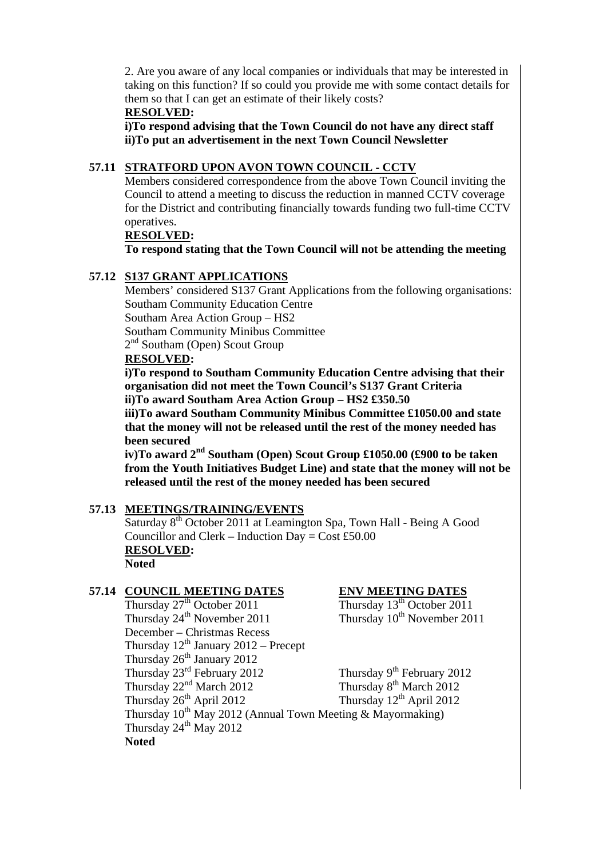2. Are you aware of any local companies or individuals that may be interested in taking on this function? If so could you provide me with some contact details for them so that I can get an estimate of their likely costs?

### **RESOLVED:**

**i)To respond advising that the Town Council do not have any direct staff ii)To put an advertisement in the next Town Council Newsletter** 

## **57.11 STRATFORD UPON AVON TOWN COUNCIL - CCTV**

Members considered correspondence from the above Town Council inviting the Council to attend a meeting to discuss the reduction in manned CCTV coverage for the District and contributing financially towards funding two full-time CCTV operatives.

### **RESOLVED:**

 **To respond stating that the Town Council will not be attending the meeting** 

### **57.12 S137 GRANT APPLICATIONS**

Members' considered S137 Grant Applications from the following organisations: Southam Community Education Centre

Southam Area Action Group – HS2

Southam Community Minibus Committee

2<sup>nd</sup> Southam (Open) Scout Group

### **RESOLVED:**

 **i)To respond to Southam Community Education Centre advising that their organisation did not meet the Town Council's S137 Grant Criteria ii)To award Southam Area Action Group – HS2 £350.50** 

 **iii)To award Southam Community Minibus Committee £1050.00 and state that the money will not be released until the rest of the money needed has been secured** 

 **iv)To award 2nd Southam (Open) Scout Group £1050.00 (£900 to be taken from the Youth Initiatives Budget Line) and state that the money will not be released until the rest of the money needed has been secured** 

### **57.13 MEETINGS/TRAINING/EVENTS**

Saturday 8<sup>th</sup> October 2011 at Leamington Spa, Town Hall - Being A Good Councillor and Clerk – Induction Day =  $Cost £50.00$ **RESOLVED: Noted** 

**57.14 COUNCIL MEETING DATES**<br>Thursday  $27^{\text{th}}$  October 2011 Thursday  $13^{\text{th}}$  October 2011 Thursday  $27<sup>th</sup>$  October 2011 Thursday  $24^{th}$  November 2011 Thursday  $10^{th}$  November 2011 December – Christmas Recess Thursday  $12^{th}$  January 2012 – Precept Thursday  $26<sup>th</sup>$  January 2012 Thursday  $23^{\text{rd}}$  February 2012<br>Thursday  $2^{nd}$  March 2012<br>Thursday  $8^{\text{th}}$  March 2012<br>Thursday  $8^{\text{th}}$  March 2012 Thursday  $22<sup>nd</sup>$  March 2012<br>Thursday  $26<sup>th</sup>$  April 2012<br>Thursday  $12<sup>th</sup>$  April 2012<br>Thursday  $12<sup>th</sup>$  April 2012 Thursday  $26<sup>th</sup>$  April 2012 Thursday  $10^{th}$  May 2012 (Annual Town Meeting & Mayormaking) Thursday  $24^{th}$  May  $2012$ **Noted**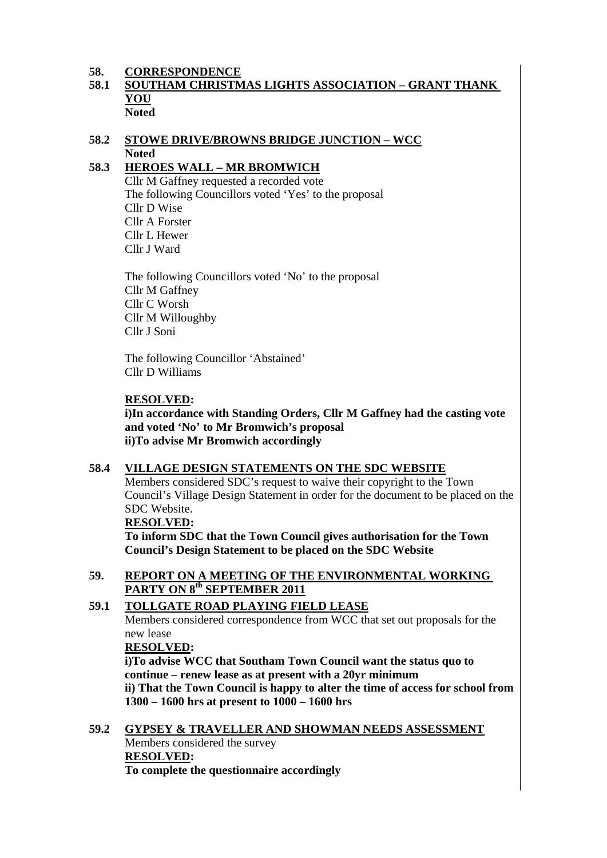## **58. CORRESPONDENCE**

## **58.1 SOUTHAM CHRISTMAS LIGHTS ASSOCIATION – GRANT THANK YOU Noted**

## **58.2 STOWE DRIVE/BROWNS BRIDGE JUNCTION – WCC Noted**

## **58.3 HEROES WALL – MR BROMWICH**

Cllr M Gaffney requested a recorded vote The following Councillors voted 'Yes' to the proposal Cllr D Wise Cllr A Forster Cllr L Hewer Cllr J Ward

The following Councillors voted 'No' to the proposal Cllr M Gaffney Cllr C Worsh Cllr M Willoughby Cllr J Soni

The following Councillor 'Abstained' Cllr D Williams

## **RESOLVED:**

**i)In accordance with Standing Orders, Cllr M Gaffney had the casting vote and voted 'No' to Mr Bromwich's proposal ii)To advise Mr Bromwich accordingly** 

## **58.4 VILLAGE DESIGN STATEMENTS ON THE SDC WEBSITE**

Members considered SDC's request to waive their copyright to the Town Council's Village Design Statement in order for the document to be placed on the SDC Website.

### **RESOLVED:**

 **To inform SDC that the Town Council gives authorisation for the Town Council's Design Statement to be placed on the SDC Website** 

## **59. REPORT ON A MEETING OF THE ENVIRONMENTAL WORKING PARTY ON 8th SEPTEMBER 2011**

### **59.1 TOLLGATE ROAD PLAYING FIELD LEASE**

Members considered correspondence from WCC that set out proposals for the new lease

### **RESOLVED:**

**i)To advise WCC that Southam Town Council want the status quo to continue – renew lease as at present with a 20yr minimum ii) That the Town Council is happy to alter the time of access for school from 1300 – 1600 hrs at present to 1000 – 1600 hrs** 

**59.2 GYPSEY & TRAVELLER AND SHOWMAN NEEDS ASSESSMENT** Members considered the survey **RESOLVED: To complete the questionnaire accordingly**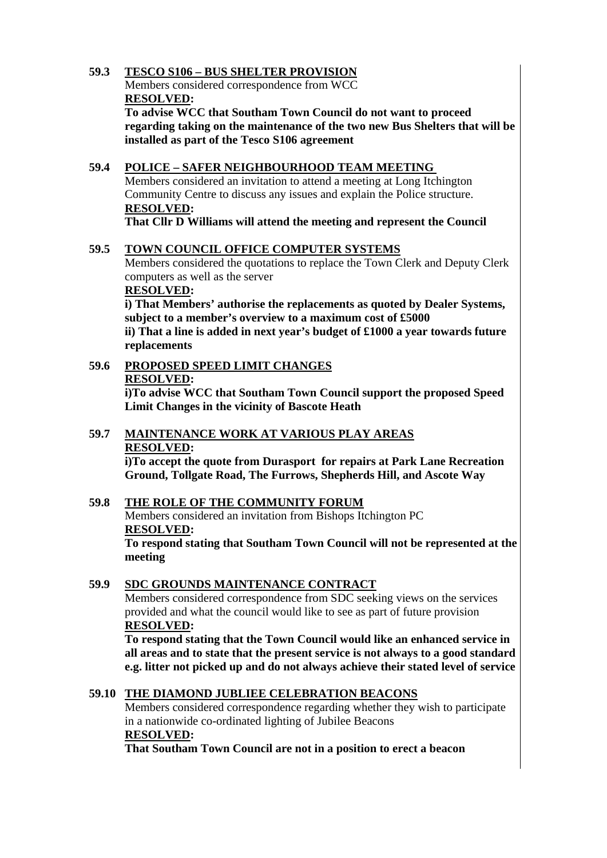## **59.3 TESCO S106 – BUS SHELTER PROVISION**

Members considered correspondence from WCC **RESOLVED:** 

**To advise WCC that Southam Town Council do not want to proceed regarding taking on the maintenance of the two new Bus Shelters that will be installed as part of the Tesco S106 agreement** 

## **59.4 POLICE – SAFER NEIGHBOURHOOD TEAM MEETING**

Members considered an invitation to attend a meeting at Long Itchington Community Centre to discuss any issues and explain the Police structure. **RESOLVED:** 

**That Cllr D Williams will attend the meeting and represent the Council** 

## **59.5 TOWN COUNCIL OFFICE COMPUTER SYSTEMS**

Members considered the quotations to replace the Town Clerk and Deputy Clerk computers as well as the server

### **RESOLVED:**

 **i) That Members' authorise the replacements as quoted by Dealer Systems, subject to a member's overview to a maximum cost of £5000** 

 **ii) That a line is added in next year's budget of £1000 a year towards future replacements** 

# **59.6 PROPOSED SPEED LIMIT CHANGES RESOLVED:**

**i)To advise WCC that Southam Town Council support the proposed Speed Limit Changes in the vicinity of Bascote Heath** 

## **59.7 MAINTENANCE WORK AT VARIOUS PLAY AREAS RESOLVED:**

**i)To accept the quote from Durasport for repairs at Park Lane Recreation Ground, Tollgate Road, The Furrows, Shepherds Hill, and Ascote Way** 

### **59.8 THE ROLE OF THE COMMUNITY FORUM** Members considered an invitation from Bishops Itchington PC

**RESOLVED:** 

**To respond stating that Southam Town Council will not be represented at the meeting** 

## **59.9 SDC GROUNDS MAINTENANCE CONTRACT**

Members considered correspondence from SDC seeking views on the services provided and what the council would like to see as part of future provision  **RESOLVED:** 

 **To respond stating that the Town Council would like an enhanced service in all areas and to state that the present service is not always to a good standard e.g. litter not picked up and do not always achieve their stated level of service** 

### **59.10 THE DIAMOND JUBLIEE CELEBRATION BEACONS**

Members considered correspondence regarding whether they wish to participate in a nationwide co-ordinated lighting of Jubilee Beacons **RESOLVED:** 

 **That Southam Town Council are not in a position to erect a beacon**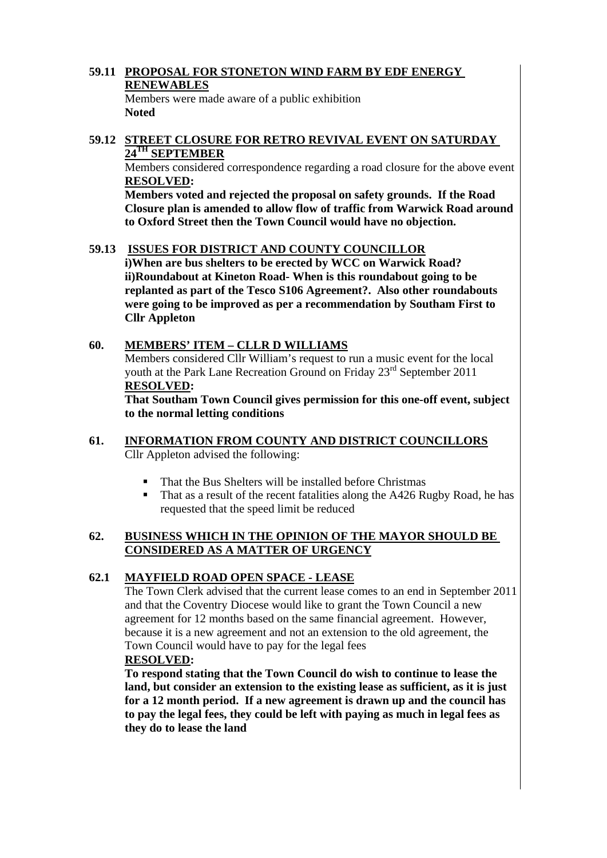## **59.11 PROPOSAL FOR STONETON WIND FARM BY EDF ENERGY RENEWABLES**

Members were made aware of a public exhibition **Noted** 

## **59.12 STREET CLOSURE FOR RETRO REVIVAL EVENT ON SATURDAY 24TH SEPTEMBER**

Members considered correspondence regarding a road closure for the above event **RESOLVED:** 

 **Members voted and rejected the proposal on safety grounds. If the Road Closure plan is amended to allow flow of traffic from Warwick Road around to Oxford Street then the Town Council would have no objection.** 

### **59.13 ISSUES FOR DISTRICT AND COUNTY COUNCILLOR**

 **i)When are bus shelters to be erected by WCC on Warwick Road? ii)Roundabout at Kineton Road- When is this roundabout going to be replanted as part of the Tesco S106 Agreement?. Also other roundabouts were going to be improved as per a recommendation by Southam First to Cllr Appleton** 

### **60. MEMBERS' ITEM – CLLR D WILLIAMS**

Members considered Cllr William's request to run a music event for the local youth at the Park Lane Recreation Ground on Friday 23<sup>rd</sup> September 2011 **RESOLVED:** 

**That Southam Town Council gives permission for this one-off event, subject to the normal letting conditions** 

### **61. INFORMATION FROM COUNTY AND DISTRICT COUNCILLORS** Cllr Appleton advised the following:

- That the Bus Shelters will be installed before Christmas
- That as a result of the recent fatalities along the A426 Rugby Road, he has requested that the speed limit be reduced

### **62. BUSINESS WHICH IN THE OPINION OF THE MAYOR SHOULD BE CONSIDERED AS A MATTER OF URGENCY**

### **62.1 MAYFIELD ROAD OPEN SPACE - LEASE**

The Town Clerk advised that the current lease comes to an end in September 2011 and that the Coventry Diocese would like to grant the Town Council a new agreement for 12 months based on the same financial agreement. However, because it is a new agreement and not an extension to the old agreement, the Town Council would have to pay for the legal fees  **RESOLVED:** 

**To respond stating that the Town Council do wish to continue to lease the land, but consider an extension to the existing lease as sufficient, as it is just for a 12 month period. If a new agreement is drawn up and the council has to pay the legal fees, they could be left with paying as much in legal fees as they do to lease the land**